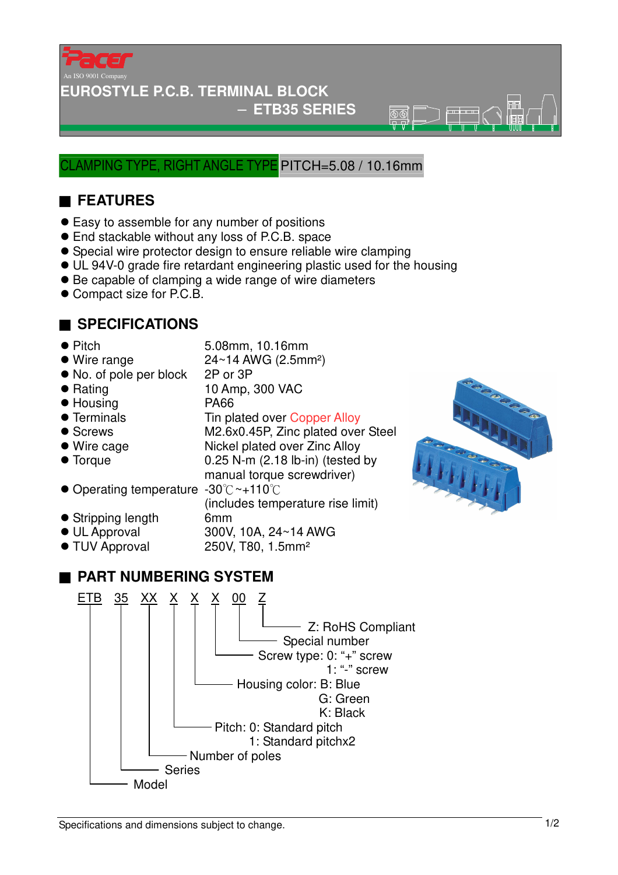

#### **EUROSTYLE P.C.B. TERMINAL BLOCK**

#### − **ETB35 SERIES**

 $\overline{\circledR}$ 

#### AMPING TYPE, RIGHT ANGLE TYPE PITCH=5.08 / 10.16mm

## ■ **FEATURES**

- Easy to assemble for any number of positions
- End stackable without any loss of P.C.B. space
- Special wire protector design to ensure reliable wire clamping
- UL 94V-0 grade fire retardant engineering plastic used for the housing

manual torque screwdriver)

(includes temperature rise limit)

- Be capable of clamping a wide range of wire diameters
- Compact size for P.C.B.

### ■ **SPECIFICATIONS**

- Pitch 5.08mm, 10.16mm
- $\bullet$  Wire range  $24~14$  AWG (2.5mm<sup>2</sup>)
- No. of pole per block 2P or 3P
- Rating 10 Amp, 300 VAC
- Housing PA66
- Terminals Tin plated over Copper Alloy
- 
- 
- Torque 10.25 N-m (2.18 lb-in) (tested by
- Screws M2.6x0.45P, Zinc plated over Steel
- Wire cage Nickel plated over Zinc Alloy
- 
- Operating temperature -30°C~+110°C
- Stripping length 6mm
- UL Approval 300V, 10A, 24~14 AWG
- TUV Approval 250V, T80, 1.5mm<sup>2</sup>

## ■ **PART NUMBERING SYSTEM**